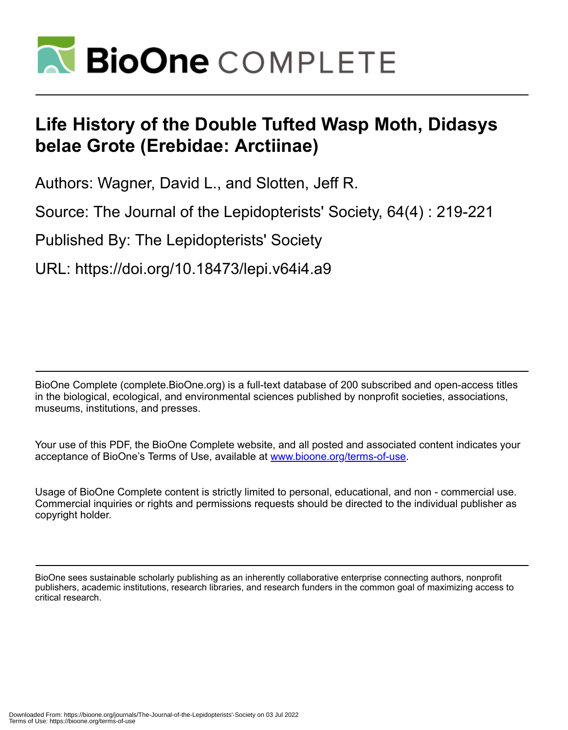

# **Life History of the Double Tufted Wasp Moth, Didasys belae Grote (Erebidae: Arctiinae)**

Authors: Wagner, David L., and Slotten, Jeff R.

Source: The Journal of the Lepidopterists' Society, 64(4) : 219-221

Published By: The Lepidopterists' Society

URL: https://doi.org/10.18473/lepi.v64i4.a9

BioOne Complete (complete.BioOne.org) is a full-text database of 200 subscribed and open-access titles in the biological, ecological, and environmental sciences published by nonprofit societies, associations, museums, institutions, and presses.

Your use of this PDF, the BioOne Complete website, and all posted and associated content indicates your acceptance of BioOne's Terms of Use, available at www.bioone.org/terms-of-use.

Usage of BioOne Complete content is strictly limited to personal, educational, and non - commercial use. Commercial inquiries or rights and permissions requests should be directed to the individual publisher as copyright holder.

BioOne sees sustainable scholarly publishing as an inherently collaborative enterprise connecting authors, nonprofit publishers, academic institutions, research libraries, and research funders in the common goal of maximizing access to critical research.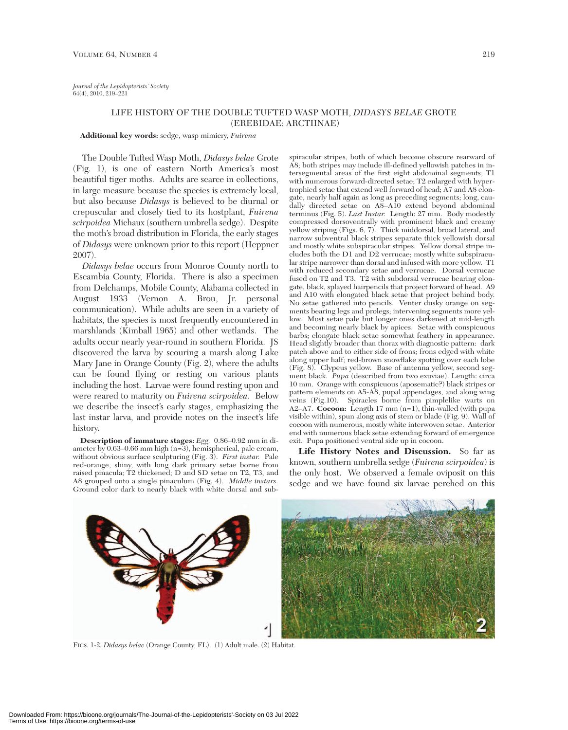## LIFE HISTORY OF THE DOUBLE TUFTED WASP MOTH, *DIDASYS BELAE* GROTE (EREBIDAE: ARCTIINAE)

#### **Additional key words:** sedge, wasp mimicry, *Fuirena*

The Double Tufted Wasp Moth, *Didasys belae* Grote (Fig. 1), is one of eastern North America's most beautiful tiger moths. Adults are scarce in collections, in large measure because the species is extremely local, but also because *Didasys* is believed to be diurnal or crepuscular and closely tied to its hostplant, *Fuirena scirpoidea* Michaux (southern umbrella sedge). Despite the moth's broad distribution in Florida, the early stages of *Didasys* were unknown prior to this report (Heppner 2007).

*Didasys belae* occurs from Monroe County north to Escambia County, Florida. There is also a specimen from Delchamps, Mobile County, Alabama collected in August 1933 (Vernon A. Brou, Jr. personal communication). While adults are seen in a variety of habitats, the species is most frequently encountered in marshlands (Kimball 1965) and other wetlands. The adults occur nearly year-round in southern Florida. JS discovered the larva by scouring a marsh along Lake Mary Jane in Orange County (Fig. 2), where the adults can be found flying or resting on various plants including the host. Larvae were found resting upon and were reared to maturity on *Fuirena scirpoidea*. Below we describe the insect's early stages, emphasizing the last instar larva, and provide notes on the insect's life history.

**Description of immature stages:** *Egg.* 0.86–0.92 mm in diameter by 0.63–0.66 mm high (n=3), hemispherical, pale cream, without obvious surface sculpturing (Fig. 3). *First instar.* Pale red-orange, shiny, with long dark primary setae borne from raised pinacula; T2 thickened; D and SD setae on T2, T3, and A8 grouped onto a single pinaculum (Fig. 4). *Middle instars.* Ground color dark to nearly black with white dorsal and sub-

spiracular stripes, both of which become obscure rearward of A8; both stripes may include ill-defined yellowish patches in intersegmental areas of the first eight abdominal segments; T1 with numerous forward-directed setae; T2 enlarged with hypertrophied setae that extend well forward of head; A7 and A8 elongate, nearly half again as long as preceding segments; long, caudally directed setae on A8–A10 extend beyond abdominal terminus (Fig. 5). *Last Instar.* Length: 27 mm. Body modestly compressed dorsoventrally with prominent black and creamy yellow striping (Figs. 6, 7). Thick middorsal, broad lateral, and narrow subventral black stripes separate thick yellowish dorsal and mostly white subspiracular stripes. Yellow dorsal stripe includes both the D1 and D2 verrucae; mostly white subspiracular stripe narrower than dorsal and infused with more yellow. T1 with reduced secondary setae and verrucae. Dorsal verrucae fused on T2 and T3. T2 with subdorsal verrucae bearing elongate, black, splayed hairpencils that project forward of head. A9 and A10 with elongated black setae that project behind body. No setae gathered into pencils. Venter dusky orange on segments bearing legs and prolegs; intervening segments more yellow. Most setae pale but longer ones darkened at mid-length and becoming nearly black by apices. Setae with conspicuous barbs; elongate black setae somewhat feathery in appearance. Head slightly broader than thorax with diagnostic pattern: dark patch above and to either side of frons; frons edged with white along upper half; red-brown snowflake spotting over each lobe (Fig. 8). Clypeus yellow. Base of antenna yellow, second segment black. *Pupa* (described from two exuviae). Length: circa 10 mm. Orange with conspicuous (aposematic?) black stripes or pattern elements on A5-A8, pupal appendages, and along wing veins (Fig.10). Spiracles borne from pimplelike warts on A2–A7. **Cocoon:** Length 17 mm (n=1), thin-walled (with pupa visible within), spun along axis of stem or blade (Fig. 9). Wall of cocoon with numerous, mostly white interwoven setae. Anterior end with numerous black setae extending forward of emergence exit. Pupa positioned ventral side up in cocoon.

**Life History Notes and Discussion.** So far as known, southern umbrella sedge (*Fuirena scirpoidea*) is the only host. We observed a female oviposit on this sedge and we have found six larvae perched on this



FIGS. 1-2. *Didasys belae* (Orange County, FL). (1) Adult male. (2) Habitat.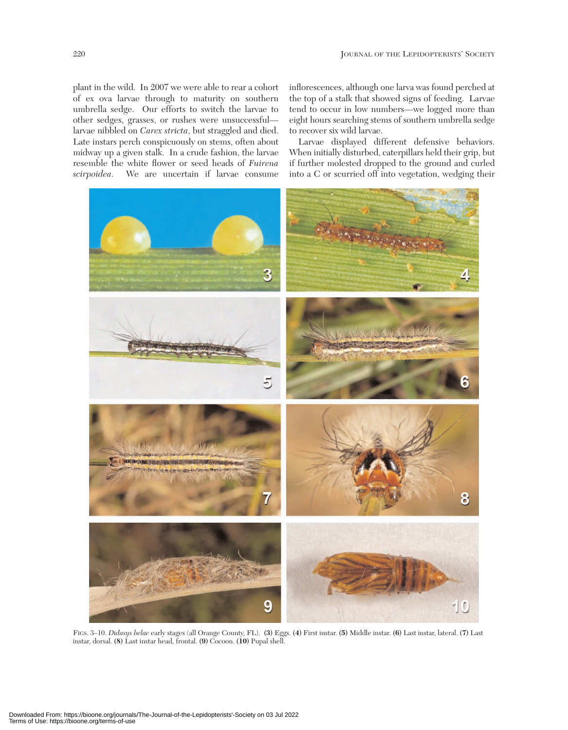plant in the wild. In 2007 we were able to rear a cohort of ex ova larvae through to maturity on southern umbrella sedge. Our efforts to switch the larvae to other sedges, grasses, or rushes were unsuccessful larvae nibbled on *Carex stricta*, but straggled and died. Late instars perch conspicuously on stems, often about midway up a given stalk. In a crude fashion, the larvae resemble the white flower or seed heads of *Fuirena scirpoidea*. We are uncertain if larvae consume

inflorescences, although one larva was found perched at the top of a stalk that showed signs of feeding. Larvae tend to occur in low numbers—we logged more than eight hours searching stems of southern umbrella sedge to recover six wild larvae.

Larvae displayed different defensive behaviors. When initially disturbed, caterpillars held their grip, but if further molested dropped to the ground and curled into a C or scurried off into vegetation, wedging their



FIGS. 3–10. *Didasys belae* early stages (all Orange County, FL). **(3)** Eggs. **(4)** First instar. **(5)** Middle instar. **(6)** Last instar, lateral. **(7)** Last instar, dorsal. **(8)** Last instar head, frontal. **(9)** Cocoon. **(10)** Pupal shell.